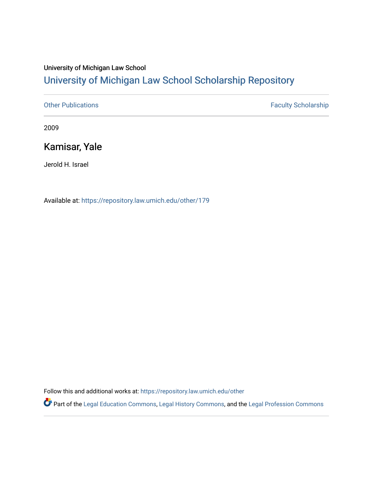## University of Michigan Law School [University of Michigan Law School Scholarship Repository](https://repository.law.umich.edu/)

[Other Publications](https://repository.law.umich.edu/other) **Faculty Scholarship Faculty Scholarship** 

2009

## Kamisar, Yale

Jerold H. Israel

Available at: <https://repository.law.umich.edu/other/179>

Follow this and additional works at: [https://repository.law.umich.edu/other](https://repository.law.umich.edu/other?utm_source=repository.law.umich.edu%2Fother%2F179&utm_medium=PDF&utm_campaign=PDFCoverPages)

Part of the [Legal Education Commons,](http://network.bepress.com/hgg/discipline/857?utm_source=repository.law.umich.edu%2Fother%2F179&utm_medium=PDF&utm_campaign=PDFCoverPages) [Legal History Commons](http://network.bepress.com/hgg/discipline/904?utm_source=repository.law.umich.edu%2Fother%2F179&utm_medium=PDF&utm_campaign=PDFCoverPages), and the [Legal Profession Commons](http://network.bepress.com/hgg/discipline/1075?utm_source=repository.law.umich.edu%2Fother%2F179&utm_medium=PDF&utm_campaign=PDFCoverPages)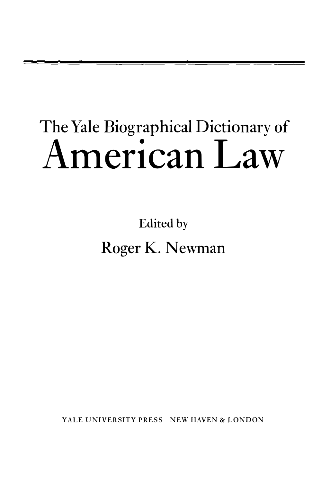## The Yale Biographical Dictionary of **American Law**

Edited by Roger K. Newman

YALE UNIVERSITY PRESS NEW HAVEN & LONDON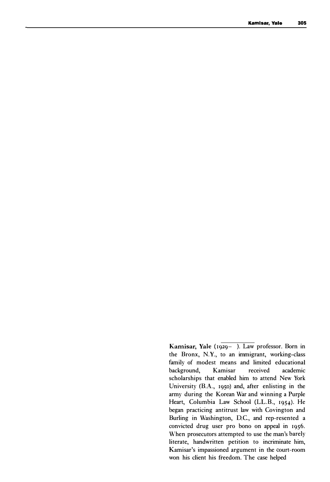Kamisar, Yale (1929-). Law professor. Born in the Bronx, N.Y., to an immigrant, working-class family of modest means and limited educational background, Kamisar received academic scholarships that enabled him to attend New York University (B.A., 1950) and, after enlisting in the army during the Korean War and winning a Purple Heart, Columbia Law School (LL.B., 1954). He began practicing antitrust law with Covington and Burling in Washington, D.C., and rep-resented a convicted drug user pro bono on appeal in 1956. When prosecutors attempted to use the man's barely literate, handwritten petition to incriminate him, Kamisar's impassioned argument in the court-room won his client his freedom. The case helped